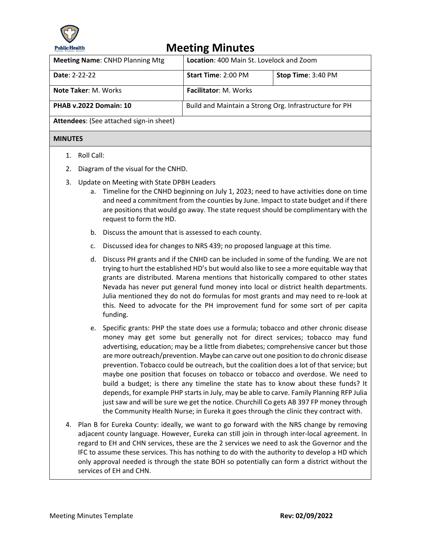

| <b>Meeting Name: CNHD Planning Mtg</b>  | <b>Location: 400 Main St. Lovelock and Zoom</b>        |                    |  |  |
|-----------------------------------------|--------------------------------------------------------|--------------------|--|--|
| <b>Date: 2-22-22</b>                    | Start Time: 2:00 PM                                    | Stop Time: 3:40 PM |  |  |
| <b>Note Taker: M. Works</b>             | <b>Facilitator: M. Works</b>                           |                    |  |  |
| <b>PHAB v.2022 Domain: 10</b>           | Build and Maintain a Strong Org. Infrastructure for PH |                    |  |  |
| Attendees: (See attached sign-in sheet) |                                                        |                    |  |  |
| <b>MINUTES</b>                          |                                                        |                    |  |  |
|                                         |                                                        |                    |  |  |

- 1. Roll Call:
- 2. Diagram of the visual for the CNHD.
- 3. Update on Meeting with State DPBH Leaders
	- a. Timeline for the CNHD beginning on July 1, 2023; need to have activities done on time and need a commitment from the counties by June. Impact to state budget and if there are positions that would go away. The state request should be complimentary with the request to form the HD.
	- b. Discuss the amount that is assessed to each county.
	- c. Discussed idea for changes to NRS 439; no proposed language at this time.
	- d. Discuss PH grants and if the CNHD can be included in some of the funding. We are not trying to hurt the established HD's but would also like to see a more equitable way that grants are distributed. Marena mentions that historically compared to other states Nevada has never put general fund money into local or district health departments. Julia mentioned they do not do formulas for most grants and may need to re-look at this. Need to advocate for the PH improvement fund for some sort of per capita funding.
	- e. Specific grants: PHP the state does use a formula; tobacco and other chronic disease money may get some but generally not for direct services; tobacco may fund advertising, education; may be a little from diabetes; comprehensive cancer but those are more outreach/prevention. Maybe can carve out one position to do chronic disease prevention. Tobacco could be outreach, but the coalition does a lot of that service; but maybe one position that focuses on tobacco or tobacco and overdose. We need to build a budget; is there any timeline the state has to know about these funds? It depends, for example PHP starts in July, may be able to carve. Family Planning RFP Julia just saw and will be sure we get the notice. Churchill Co gets AB 397 FP money through the Community Health Nurse; in Eureka it goes through the clinic they contract with.
- 4. Plan B for Eureka County: ideally, we want to go forward with the NRS change by removing adjacent county language. However, Eureka can still join in through inter-local agreement. In regard to EH and CHN services, these are the 2 services we need to ask the Governor and the IFC to assume these services. This has nothing to do with the authority to develop a HD which only approval needed is through the state BOH so potentially can form a district without the services of EH and CHN.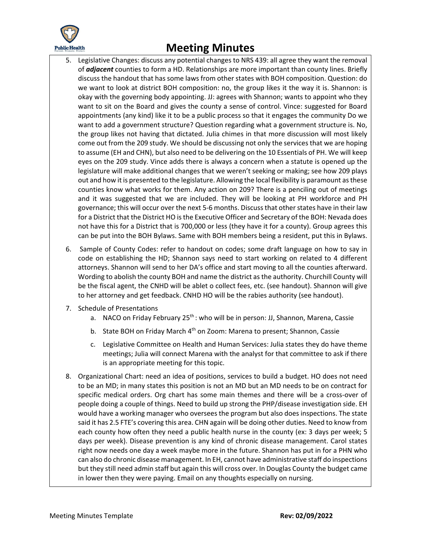

- 5. Legislative Changes: discuss any potential changes to NRS 439: all agree they want the removal of *adjacent* counties to form a HD. Relationships are more important than county lines. Briefly discuss the handout that has some laws from other states with BOH composition. Question: do we want to look at district BOH composition: no, the group likes it the way it is. Shannon: is okay with the governing body appointing. JJ: agrees with Shannon; wants to appoint who they want to sit on the Board and gives the county a sense of control. Vince: suggested for Board appointments (any kind) like it to be a public process so that it engages the community Do we want to add a government structure? Question regarding what a government structure is. No, the group likes not having that dictated. Julia chimes in that more discussion will most likely come out from the 209 study. We should be discussing not only the services that we are hoping to assume (EH and CHN), but also need to be delivering on the 10 Essentials of PH. We will keep eyes on the 209 study. Vince adds there is always a concern when a statute is opened up the legislature will make additional changes that we weren't seeking or making; see how 209 plays out and how it is presented to the legislature. Allowing the local flexibility is paramount as these counties know what works for them. Any action on 209? There is a penciling out of meetings and it was suggested that we are included. They will be looking at PH workforce and PH governance; this will occur over the next 5-6 months. Discuss that other states have in their law for a District that the District HO is the Executive Officer and Secretary of the BOH: Nevada does not have this for a District that is 700,000 or less (they have it for a county). Group agrees this can be put into the BOH Bylaws. Same with BOH members being a resident, put this in Bylaws.
- 6. Sample of County Codes: refer to handout on codes; some draft language on how to say in code on establishing the HD; Shannon says need to start working on related to 4 different attorneys. Shannon will send to her DA's office and start moving to all the counties afterward. Wording to abolish the county BOH and name the district as the authority. Churchill County will be the fiscal agent, the CNHD will be ablet o collect fees, etc. (see handout). Shannon will give to her attorney and get feedback. CNHD HO will be the rabies authority (see handout).
- 7. Schedule of Presentations
	- a. NACO on Friday February 25<sup>th</sup>: who will be in person: JJ, Shannon, Marena, Cassie
	- b. State BOH on Friday March 4<sup>th</sup> on Zoom: Marena to present; Shannon, Cassie
	- c. Legislative Committee on Health and Human Services: Julia states they do have theme meetings; Julia will connect Marena with the analyst for that committee to ask if there is an appropriate meeting for this topic.
- 8. Organizational Chart: need an idea of positions, services to build a budget. HO does not need to be an MD; in many states this position is not an MD but an MD needs to be on contract for specific medical orders. Org chart has some main themes and there will be a cross-over of people doing a couple of things. Need to build up strong the PHP/disease investigation side. EH would have a working manager who oversees the program but also does inspections. The state said it has 2.5 FTE's covering this area. CHN again will be doing other duties. Need to know from each county how often they need a public health nurse in the county (ex: 3 days per week; 5 days per week). Disease prevention is any kind of chronic disease management. Carol states right now needs one day a week maybe more in the future. Shannon has put in for a PHN who can also do chronic disease management. In EH, cannot have administrative staff do inspections but they still need admin staff but again this will cross over. In Douglas County the budget came in lower then they were paying. Email on any thoughts especially on nursing.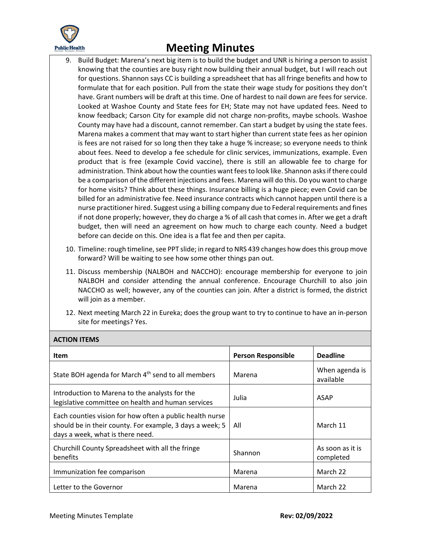

- 9. Build Budget: Marena's next big item is to build the budget and UNR is hiring a person to assist knowing that the counties are busy right now building their annual budget, but I will reach out for questions. Shannon says CC is building a spreadsheet that has all fringe benefits and how to formulate that for each position. Pull from the state their wage study for positions they don't have. Grant numbers will be draft at this time. One of hardest to nail down are fees for service. Looked at Washoe County and State fees for EH; State may not have updated fees. Need to know feedback; Carson City for example did not charge non-profits, maybe schools. Washoe County may have had a discount, cannot remember. Can start a budget by using the state fees. Marena makes a comment that may want to start higher than current state fees as her opinion is fees are not raised for so long then they take a huge % increase; so everyone needs to think about fees. Need to develop a fee schedule for clinic services, immunizations, example. Even product that is free (example Covid vaccine), there is still an allowable fee to charge for administration. Think about how the counties want fees to look like. Shannon asks if there could be a comparison of the different injections and fees. Marena will do this. Do you want to charge for home visits? Think about these things. Insurance billing is a huge piece; even Covid can be billed for an administrative fee. Need insurance contracts which cannot happen until there is a nurse practitioner hired. Suggest using a billing company due to Federal requirements and fines if not done properly; however, they do charge a % of all cash that comes in. After we get a draft budget, then will need an agreement on how much to charge each county. Need a budget before can decide on this. One idea is a flat fee and then per capita.
- 10. Timeline: rough timeline, see PPT slide; in regard to NRS 439 changes how does this group move forward? Will be waiting to see how some other things pan out.
- 11. Discuss membership (NALBOH and NACCHO): encourage membership for everyone to join NALBOH and consider attending the annual conference. Encourage Churchill to also join NACCHO as well; however, any of the counties can join. After a district is formed, the district will join as a member.
- 12. Next meeting March 22 in Eureka; does the group want to try to continue to have an in-person site for meetings? Yes.

| <b>ACTION ITEMS</b>                                                                                                                                      |                           |                               |  |
|----------------------------------------------------------------------------------------------------------------------------------------------------------|---------------------------|-------------------------------|--|
| <b>Item</b>                                                                                                                                              | <b>Person Responsible</b> | <b>Deadline</b>               |  |
| State BOH agenda for March 4 <sup>th</sup> send to all members                                                                                           | Marena                    | When agenda is<br>available   |  |
| Introduction to Marena to the analysts for the<br>legislative committee on health and human services                                                     | Julia                     | <b>ASAP</b>                   |  |
| Each counties vision for how often a public health nurse<br>should be in their county. For example, 3 days a week; 5<br>days a week, what is there need. | All                       | March 11                      |  |
| Churchill County Spreadsheet with all the fringe<br>benefits                                                                                             | Shannon                   | As soon as it is<br>completed |  |
| Immunization fee comparison                                                                                                                              | Marena                    | March 22                      |  |
| Letter to the Governor                                                                                                                                   | Marena                    | March 22                      |  |

#### **ACTION ITEMS**